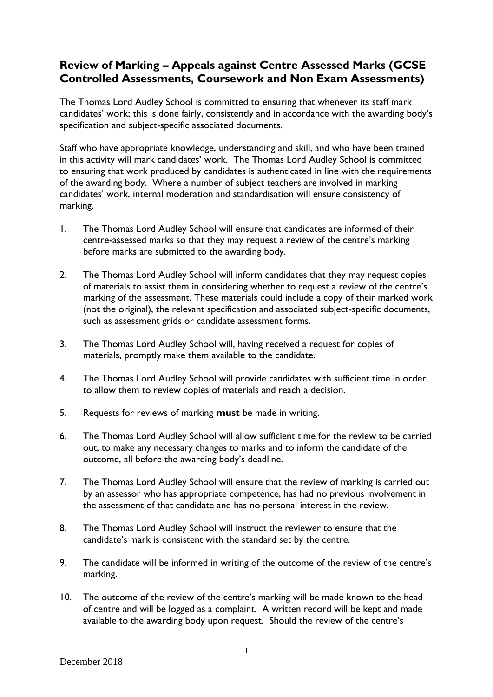## **Review of Marking – Appeals against Centre Assessed Marks (GCSE Controlled Assessments, Coursework and Non Exam Assessments)**

The Thomas Lord Audley School is committed to ensuring that whenever its staff mark candidates' work; this is done fairly, consistently and in accordance with the awarding body's specification and subject-specific associated documents.

Staff who have appropriate knowledge, understanding and skill, and who have been trained in this activity will mark candidates' work. The Thomas Lord Audley School is committed to ensuring that work produced by candidates is authenticated in line with the requirements of the awarding body. Where a number of subject teachers are involved in marking candidates' work, internal moderation and standardisation will ensure consistency of marking.

- 1. The Thomas Lord Audley School will ensure that candidates are informed of their centre-assessed marks so that they may request a review of the centre's marking before marks are submitted to the awarding body.
- 2. The Thomas Lord Audley School will inform candidates that they may request copies of materials to assist them in considering whether to request a review of the centre's marking of the assessment. These materials could include a copy of their marked work (not the original), the relevant specification and associated subject-specific documents, such as assessment grids or candidate assessment forms.
- 3. The Thomas Lord Audley School will, having received a request for copies of materials, promptly make them available to the candidate.
- 4. The Thomas Lord Audley School will provide candidates with sufficient time in order to allow them to review copies of materials and reach a decision.
- 5. Requests for reviews of marking **must** be made in writing.
- 6. The Thomas Lord Audley School will allow sufficient time for the review to be carried out, to make any necessary changes to marks and to inform the candidate of the outcome, all before the awarding body's deadline.
- 7. The Thomas Lord Audley School will ensure that the review of marking is carried out by an assessor who has appropriate competence, has had no previous involvement in the assessment of that candidate and has no personal interest in the review.
- 8. The Thomas Lord Audley School will instruct the reviewer to ensure that the candidate's mark is consistent with the standard set by the centre.
- 9. The candidate will be informed in writing of the outcome of the review of the centre's marking.
- 10. The outcome of the review of the centre's marking will be made known to the head of centre and will be logged as a complaint. A written record will be kept and made available to the awarding body upon request. Should the review of the centre's